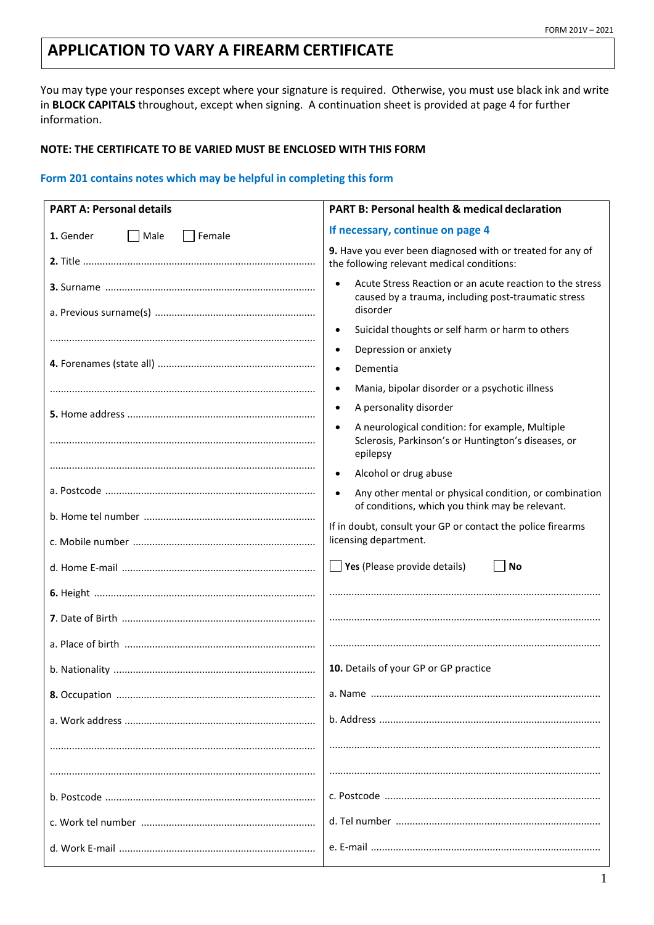# **APPLICATION TO VARY A FIREARM CERTIFICATE**

You may type your responses except where your signature is required. Otherwise, you must use black ink and write in **BLOCK CAPITALS** throughout, except when signing. A continuation sheet is provided at page 4 for further information.

#### **NOTE: THE CERTIFICATE TO BE VARIED MUST BE ENCLOSED WITH THIS FORM**

### **Form 201 contains notes which may be helpful in completing this form**

| <b>PART A: Personal details</b>      | PART B: Personal health & medical declaration                                                                                   |  |  |  |
|--------------------------------------|---------------------------------------------------------------------------------------------------------------------------------|--|--|--|
| 1. Gender<br>  Male<br>$\Box$ Female | If necessary, continue on page 4                                                                                                |  |  |  |
|                                      | 9. Have you ever been diagnosed with or treated for any of<br>the following relevant medical conditions:                        |  |  |  |
|                                      | Acute Stress Reaction or an acute reaction to the stress<br>caused by a trauma, including post-traumatic stress<br>disorder     |  |  |  |
|                                      | Suicidal thoughts or self harm or harm to others<br>$\bullet$                                                                   |  |  |  |
|                                      | Depression or anxiety<br>$\bullet$                                                                                              |  |  |  |
|                                      | Dementia                                                                                                                        |  |  |  |
|                                      | Mania, bipolar disorder or a psychotic illness<br>$\bullet$                                                                     |  |  |  |
|                                      | A personality disorder<br>$\bullet$                                                                                             |  |  |  |
|                                      | A neurological condition: for example, Multiple<br>$\bullet$<br>Sclerosis, Parkinson's or Huntington's diseases, or<br>epilepsy |  |  |  |
|                                      | Alcohol or drug abuse<br>$\bullet$                                                                                              |  |  |  |
|                                      | $\bullet$<br>Any other mental or physical condition, or combination<br>of conditions, which you think may be relevant.          |  |  |  |
|                                      | If in doubt, consult your GP or contact the police firearms<br>licensing department.                                            |  |  |  |
|                                      | $\Box$ Yes (Please provide details)<br><b>No</b>                                                                                |  |  |  |
|                                      |                                                                                                                                 |  |  |  |
|                                      |                                                                                                                                 |  |  |  |
|                                      |                                                                                                                                 |  |  |  |
|                                      | 10. Details of your GP or GP practice                                                                                           |  |  |  |
|                                      |                                                                                                                                 |  |  |  |
|                                      |                                                                                                                                 |  |  |  |
|                                      |                                                                                                                                 |  |  |  |
|                                      |                                                                                                                                 |  |  |  |
|                                      |                                                                                                                                 |  |  |  |
|                                      |                                                                                                                                 |  |  |  |
|                                      |                                                                                                                                 |  |  |  |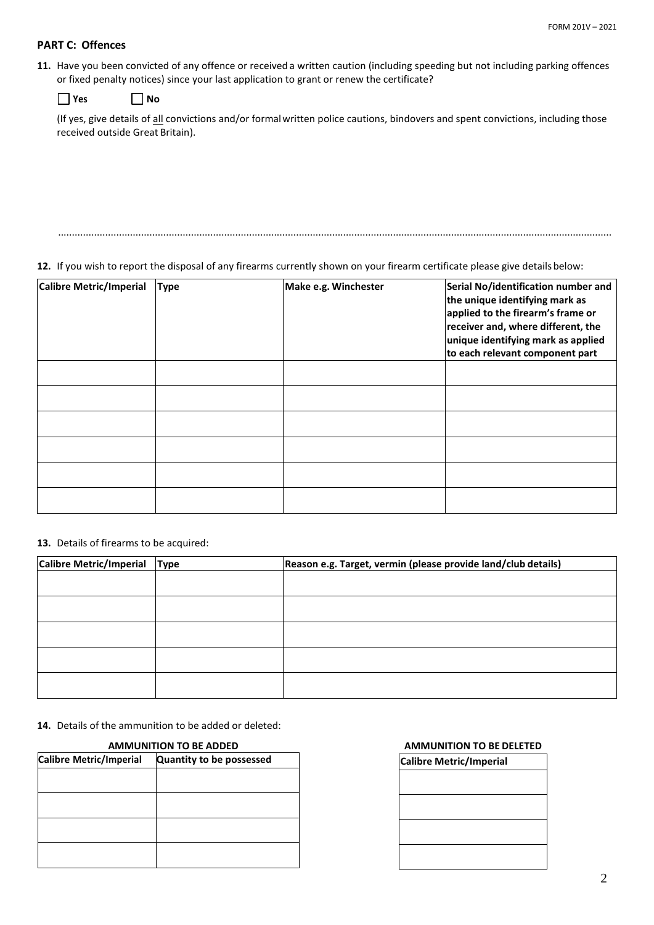# **PART C: Offences**

**11.** Have you been convicted of any offence or received a written caution (including speeding but not including parking offences or fixed penalty notices) since your last application to grant or renew the certificate?

| Yes | <b>No</b> |
|-----|-----------|
|-----|-----------|

(If yes, give details of all convictions and/or formal written police cautions, bindovers and spent convictions, including those received outside Great Britain).

........................................................................................................................................................................................................

**12.** If you wish to report the disposal of any firearms currently shown on your firearm certificate please give details below:

| Calibre Metric/Imperial | <b>Type</b> | Make e.g. Winchester | Serial No/identification number and<br>the unique identifying mark as<br>applied to the firearm's frame or<br>receiver and, where different, the<br>unique identifying mark as applied<br>to each relevant component part |
|-------------------------|-------------|----------------------|---------------------------------------------------------------------------------------------------------------------------------------------------------------------------------------------------------------------------|
|                         |             |                      |                                                                                                                                                                                                                           |
|                         |             |                      |                                                                                                                                                                                                                           |
|                         |             |                      |                                                                                                                                                                                                                           |
|                         |             |                      |                                                                                                                                                                                                                           |
|                         |             |                      |                                                                                                                                                                                                                           |
|                         |             |                      |                                                                                                                                                                                                                           |

**13.** Details of firearms to be acquired:

| <b>Calibre Metric/Imperial</b> | <b>Type</b> | Reason e.g. Target, vermin (please provide land/club details) |  |  |  |  |
|--------------------------------|-------------|---------------------------------------------------------------|--|--|--|--|
|                                |             |                                                               |  |  |  |  |
|                                |             |                                                               |  |  |  |  |
|                                |             |                                                               |  |  |  |  |
|                                |             |                                                               |  |  |  |  |
|                                |             |                                                               |  |  |  |  |
|                                |             |                                                               |  |  |  |  |
|                                |             |                                                               |  |  |  |  |
|                                |             |                                                               |  |  |  |  |
|                                |             |                                                               |  |  |  |  |

**14.** Details of the ammunition to be added or deleted:

| <b>AMMUNITION TO BE ADDED</b> |                          |  |  |
|-------------------------------|--------------------------|--|--|
| Calibre Metric/Imperial       | Quantity to be possessed |  |  |
|                               |                          |  |  |
|                               |                          |  |  |
|                               |                          |  |  |
|                               |                          |  |  |
|                               |                          |  |  |
|                               |                          |  |  |
|                               |                          |  |  |
|                               |                          |  |  |

#### **AMMUNITION TO BE ADDED AMMUNITION TO BE DELETED**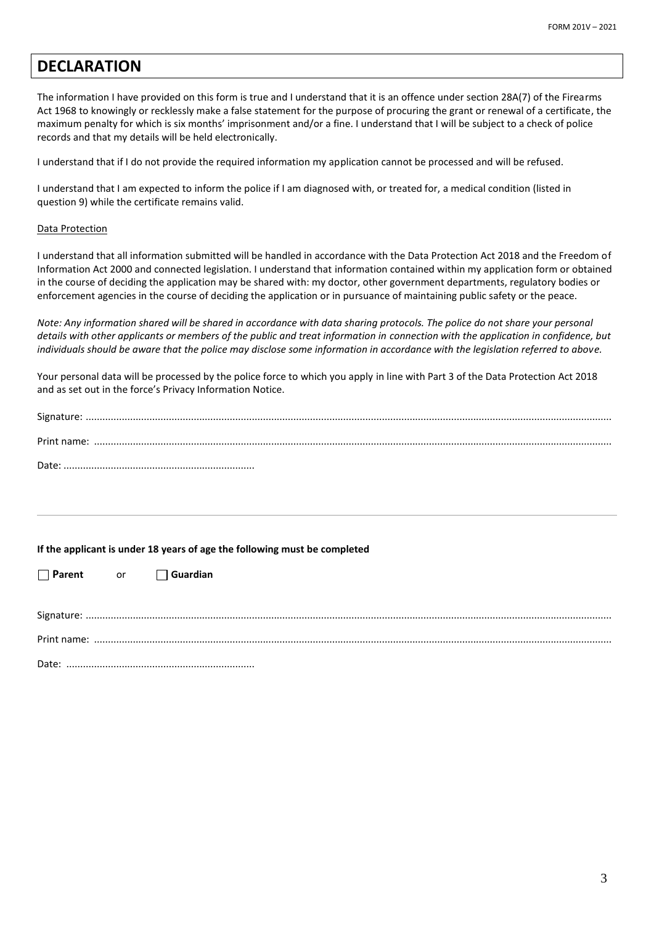# **DECLARATION**

The information I have provided on this form is true and I understand that it is an offence under section 28A(7) of the Firearms Act 1968 to knowingly or recklessly make a false statement for the purpose of procuring the grant or renewal of a certificate, the maximum penalty for which is six months' imprisonment and/or a fine. I understand that I will be subject to a check of police records and that my details will be held electronically.

I understand that if I do not provide the required information my application cannot be processed and will be refused.

I understand that I am expected to inform the police if I am diagnosed with, or treated for, a medical condition (listed in question 9) while the certificate remains valid.

#### Data Protection

I understand that all information submitted will be handled in accordance with the Data Protection Act 2018 and the Freedom of Information Act 2000 and connected legislation. I understand that information contained within my application form or obtained in the course of deciding the application may be shared with: my doctor, other government departments, regulatory bodies or enforcement agencies in the course of deciding the application or in pursuance of maintaining public safety or the peace.

*Note: Any information shared will be shared in accordance with data sharing protocols. The police do not share your personal details with other applicants or members of the public and treat information in connection with the application in confidence, but individuals should be aware that the police may disclose some information in accordance with the legislation referred to above.*

Your personal data will be processed by the police force to which you apply in line with Part 3 of the Data Protection Act 2018 and as set out in the force's Privacy Information Notice.

**If the applicant is under 18 years of age the following must be completed** 

**Parent** or **Guardian**

| $D = L$ |  |  |  |  |
|---------|--|--|--|--|

Date: ....................................................................